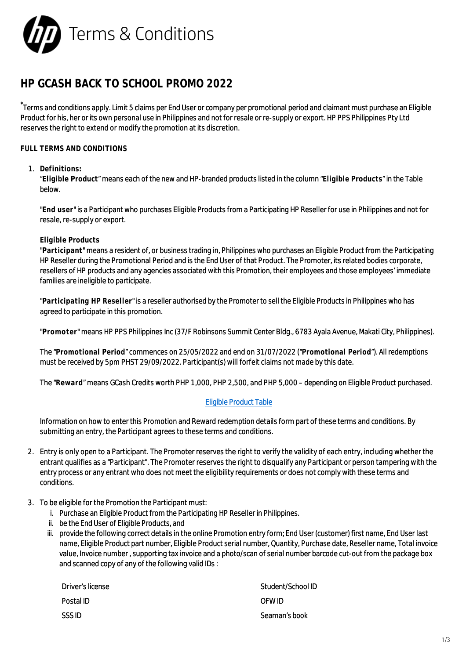

# **HP GCASH BACK TO SCHOOL PROMO 2022**

\*Terms and conditions apply. Limit 5 claims per End User or company per promotional period and claimant must purchase an Eligible Product for his, her or its own personal use in Philippines and not for resale or re-supply or export. HP PPS Philippines Pty Ltd reserves the right to extend or modify the promotion at its discretion.

## **FULL TERMS AND CONDITIONS**

### 1. **Definitions:**

"**Eligible Product**" means each of the new and HP-branded products listed in the column "**Eligible Products**" in the Table below.

"**End user**" is a Participant who purchases Eligible Products from a Participating HP Reseller for use in Philippines and not for resale, re-supply or export.

#### **Eligible Products**

"**Participant**" means a resident of, or business trading in, Philippines who purchases an Eligible Product from the Participating HP Reseller during the Promotional Period and is the End User of that Product. The Promoter, its related bodies corporate, resellers of HP products and any agencies associated with this Promotion, their employees and those employees' immediate families are ineligible to participate.

"**Participating HP Reseller**" is a reseller authorised by the Promoter to sell the Eligible Products in Philippines who has agreed to participate in this promotion.

"**Promoter**" means HP PPS Philippines Inc (37/F Robinsons Summit Center Bldg., 6783 Ayala Avenue, Makati City, Philippines).

The "**Promotional Period**" commences on 25/05/2022 and end on 31/07/2022 ("**Promotional Period**"). All redemptions must be received by 5pm PHST 29/09/2022. Participant(s) will forfeit claims not made by this date.

The "**Reward**" means GCash Credits worth PHP 1,000, PHP 2,500, and PHP 5,000 – depending on Eligible Product purchased.

### [Eligible Product Table](https://h41201.www4.hp.com/WMCF.Web/ph/en/flex/16376/productinfo/?simdate=2022-07-31)

Information on how to enter this Promotion and Reward redemption details form part of these terms and conditions. By submitting an entry, the Participant agrees to these terms and conditions.

- 2. Entry is only open to a Participant. The Promoter reserves the right to verify the validity of each entry, including whether the entrant qualifies as a "Participant". The Promoter reserves the right to disqualify any Participant or person tampering with the entry process or any entrant who does not meet the eligibility requirements or does not comply with these terms and conditions.
- 3. To be eligible for the Promotion the Participant must:
	- i. Purchase an Eligible Product from the Participating HP Reseller in Philippines.
	- ii. be the End User of Eligible Products, and
	- iii. provide the following correct details in the online Promotion entry form; End User (customer) first name, End User last name, Eligible Product part number, Eligible Product serial number, Quantity, Purchase date, Reseller name, Total invoice value, Invoice number , supporting tax invoice and a photo/scan of serial number barcode cut-out from the package box and scanned copy of any of the following valid IDs :

| Driver's license | Student/School ID |
|------------------|-------------------|
| Postal ID        | OFW ID.           |
| <b>SSSID</b>     | Seaman's book     |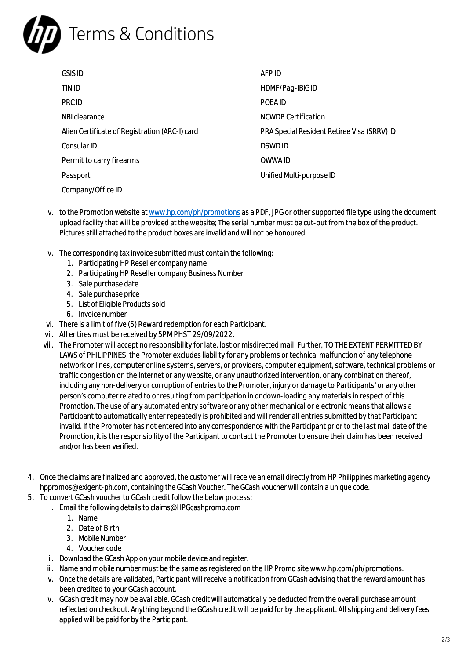

| <b>GSIS ID</b>                                 | AFP ID                                      |
|------------------------------------------------|---------------------------------------------|
| TIN ID                                         | HDMF/Pag-IBIG ID                            |
| PRC ID                                         | POEA ID                                     |
| NBI clearance                                  | <b>NCWDP Certification</b>                  |
| Alien Certificate of Registration (ARC-I) card | PRA Special Resident Retiree Visa (SRRV) ID |
| Consular ID                                    | <b>DSWDID</b>                               |
| Permit to carry firearms                       | OWWA ID                                     |
| Passport                                       | Unified Multi-purpose ID                    |
| Company/Office ID                              |                                             |

- iv. to the Promotion website at [www.hp.com/ph/promotions](http://www.hp.com/ph/promotions) as a PDF, JPG or other supported file type using the document upload facility that will be provided at the website; The serial number must be cut-out from the box of the product. Pictures still attached to the product boxes are invalid and will not be honoured.
- v. The corresponding tax invoice submitted must contain the following:
	- 1. Participating HP Reseller company name
	- 2. Participating HP Reseller company Business Number
	- 3. Sale purchase date
	- 4. Sale purchase price
	- 5. List of Eligible Products sold
	- 6. Invoice number
- vi. There is a limit of five (5) Reward redemption for each Participant.
- vii. All entires must be received by 5PM PHST 29/09/2022.
- viii. The Promoter will accept no responsibility for late, lost or misdirected mail. Further, TO THE EXTENT PERMITTED BY LAWS of PHILIPPINES, the Promoter excludes liability for any problems or technical malfunction of any telephone network or lines, computer online systems, servers, or providers, computer equipment, software, technical problems or traffic congestion on the Internet or any website, or any unauthorized intervention, or any combination thereof, including any non-delivery or corruption of entries to the Promoter, injury or damage to Participants' or any other person's computer related to or resulting from participation in or down-loading any materials in respect of this Promotion. The use of any automated entry software or any other mechanical or electronic means that allows a Participant to automatically enter repeatedly is prohibited and will render all entries submitted by that Participant invalid. If the Promoter has not entered into any correspondence with the Participant prior to the last mail date of the Promotion, it is the responsibility of the Participant to contact the Promoter to ensure their claim has been received and/or has been verified.
- 4. Once the claims are finalized and approved, the customer will receive an email directly from HP Philippines marketing agency hppromos@exigent-ph.com, containing the GCash Voucher. The GCash voucher will contain a unique code.
- 5. To convert GCash voucher to GCash credit follow the below process:
	- i. Email the following details to claims@HPGcashpromo.com
		- 1. Name
		- 2. Date of Birth
		- 3. Mobile Number
		- 4. Voucher code
		- ii. Download the GCash App on your mobile device and register.
		- iii. Name and mobile number must be the same as registered on the HP Promo site www.hp.com/ph/promotions.
		- iv. Once the details are validated, Participant will receive a notification from GCash advising that the reward amount has been credited to your GCash account.
		- v. GCash credit may now be available. GCash credit will automatically be deducted from the overall purchase amount reflected on checkout. Anything beyond the GCash credit will be paid for by the applicant. All shipping and delivery fees applied will be paid for by the Participant.